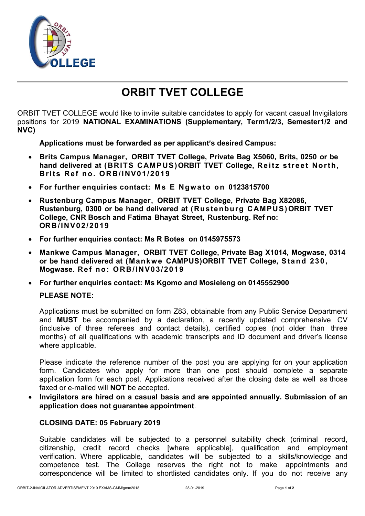

# **ORBIT TVET COLLEGE**

ORBIT TVET COLLEGE would like to invite suitable candidates to apply for vacant casual Invigilators positions for 2019 **NATIONAL EXAMINATIONS (Supplementary, Term1/2/3, Semester1/2 and NVC)**

**Applications must be forwarded as per applicant's desired Campus:**

- **Brits Campus Manager, ORBIT TVET College, Private Bag X5060, Brits, 0250 or be** hand delivered at (BRITS CAMPUS) ORBIT TVET College, Reitz street North, **Brits Ref no. ORB/INV01/2019**
- **For further enquiries contact: Ms E Ngwato on 0123815700**
- **Rustenburg Campus Manager, ORBIT TVET College, Private Bag X82086, Rustenburg, 0300 or be hand delivered at (Rustenburg CAMPUS)ORBIT TVET College, CNR Bosch and Fatima Bhayat Street, Rustenburg. Ref no: ORB/ I NV 02 /20 19**
- **For further enquiries contact: Ms R Botes on 0145975573**
- **Mankwe Campus Manager, ORBIT TVET College, Private Bag X1014, Mogwase, 0314 or be hand delivered at (Mankw e CAMPUS)ORBIT TVET College, S ta nd 23 0 , Mogwase. Re f no: O RB/ I NV0 3/ 201 9**
- **For further enquiries contact: Ms Kgomo and Mosieleng on 0145552900 PLEASE NOTE:**

Applications must be submitted on form Z83, obtainable from any Public Service Department and **MUST** be accompanied by a declaration, a recently updated comprehensive CV (inclusive of three referees and contact details), certified copies (not older than three months) of all qualifications with academic transcripts and ID document and driver's license where applicable.

Please indicate the reference number of the post you are applying for on your application form. Candidates who apply for more than one post should complete a separate application form for each post. Applications received after the closing date as well as those faxed or e-mailed will **NOT** be accepted.

 **Invigilators are hired on a casual basis and are appointed annually. Submission of an application does not guarantee appointment***.*

### **CLOSING DATE: 05 February 2019**

Suitable candidates will be subjected to a personnel suitability check (criminal record, citizenship, credit record checks [where applicable], qualification and employment verification. Where applicable, candidates will be subjected to a skills/knowledge and competence test. The College reserves the right not to make appointments and correspondence will be limited to shortlisted candidates only. If you do not receive any